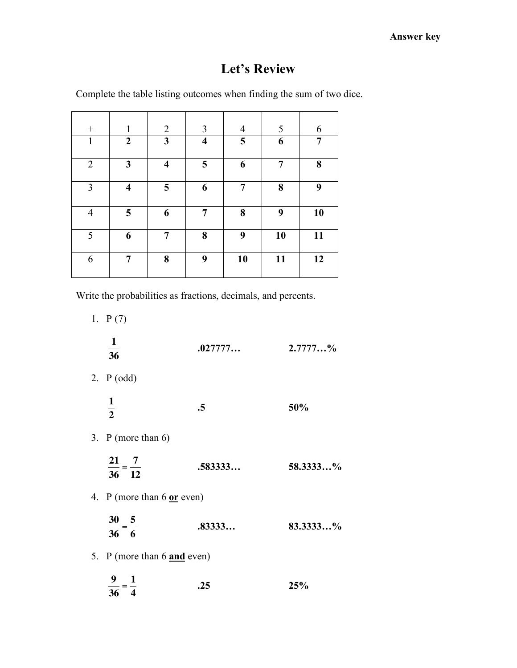# **Let's Review**

Complete the table listing outcomes when finding the sum of two dice.

|                | 1                       | $\overline{2}$          | 3                       | $\overline{4}$ | 5  | 6  |
|----------------|-------------------------|-------------------------|-------------------------|----------------|----|----|
| $\mathbf{1}$   | $\boldsymbol{2}$        | $\mathbf{3}$            | $\overline{\mathbf{4}}$ | 5              | 6  | 7  |
| $\overline{2}$ | 3                       | $\overline{\mathbf{4}}$ | 5                       | 6              | 7  | 8  |
| $\mathfrak{Z}$ | $\overline{\mathbf{4}}$ | $\overline{\mathbf{5}}$ | 6                       | 7              | 8  | 9  |
| $\overline{4}$ | $\overline{\mathbf{5}}$ | 6                       | 7                       | 8              | 9  | 10 |
| 5              | 6                       | 7                       | 8                       | 9              | 10 | 11 |
| 6              | 7                       | 8                       | 9                       | 10             | 11 | 12 |

Write the probabilities as fractions, decimals, and percents.

| 1. $P(7)$                             |           |            |
|---------------------------------------|-----------|------------|
| $\mathbf{1}$<br>$\frac{1}{36}$        | .027777   | $2.7777$ % |
| 2. $P(odd)$                           |           |            |
| $\frac{1}{2}$                         | $\cdot$ 5 | 50%        |
| 3. P (more than $6$ )                 |           |            |
| $\frac{21}{36} = \frac{7}{12}$        | .583333   | 58.3333%   |
| 4. P (more than $6 \text{ or }$ even) |           |            |
| $\frac{30}{36} = \frac{5}{6}$         | .83333    | 83.3333%   |
| 5. P (more than 6 and even)           |           |            |
| $\frac{9}{36} = \frac{1}{4}$          | .25       | 25%        |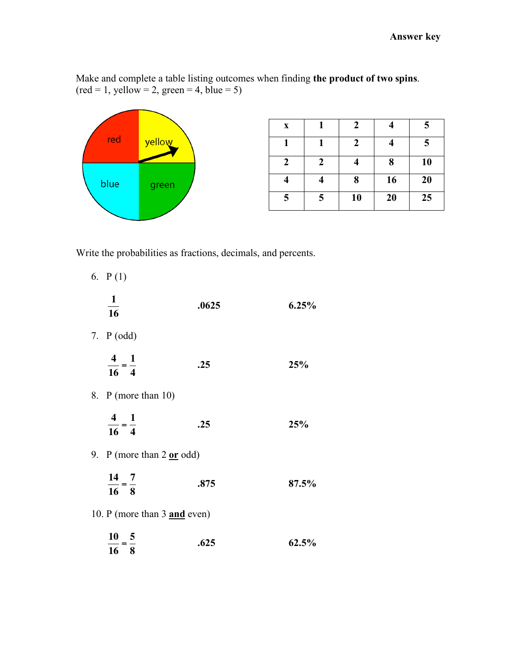Make and complete a table listing outcomes when finding **the product of two spins**.  $(\text{red} = 1, \text{ yellow} = 2, \text{green} = 4, \text{blue} = 5)$ 



| X |   | 2  |    | 5  |
|---|---|----|----|----|
|   |   | 2  |    | 5  |
| 2 | 7 |    | 8  | 10 |
|   |   | 8  | 16 | 20 |
| 5 | 5 | 10 | 20 | 25 |

Write the probabilities as fractions, decimals, and percents.

| 6. $P(1)$                            |       |       |
|--------------------------------------|-------|-------|
| $\frac{1}{2}$<br>16                  | .0625 | 6.25% |
| 7. $P(odd)$                          |       |       |
| $\frac{4}{16} = \frac{1}{4}$         | .25   | 25%   |
| 8. P (more than 10)                  |       |       |
| $\frac{4}{16} = \frac{1}{4}$         | .25   | 25%   |
| 9. P (more than $2 \text{ or }$ odd) |       |       |
| $\frac{14}{16} = \frac{7}{8}$        | .875  | 87.5% |
| 10. P (more than 3 and even)         |       |       |
| $\frac{10}{16} = \frac{5}{8}$        | .625  | 62.5% |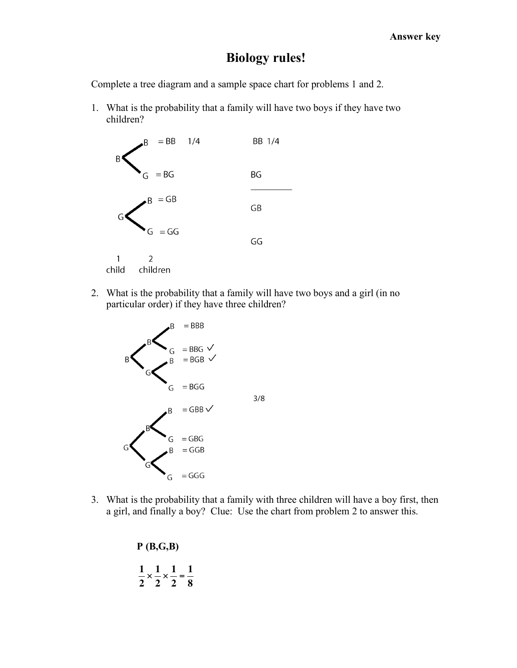## **Biology rules!**

Complete a tree diagram and a sample space chart for problems 1 and 2.

1. What is the probability that a family will have two boys if they have two children?



2. What is the probability that a family will have two boys and a girl (in no particular order) if they have three children?



3. What is the probability that a family with three children will have a boy first, then a girl, and finally a boy? Clue: Use the chart from problem 2 to answer this.

> **P (B,G,B) 1 2**  $\times$ **1 2**  $\times$ **1 2** = **1 8**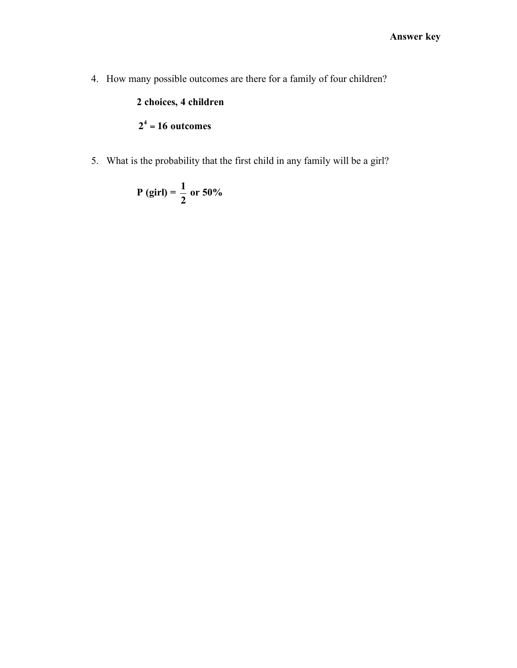4. How many possible outcomes are there for a family of four children?

## **2 choices, 4 children**

## **24** = **16 outcomes**

! 5. What is the probability that the first child in any family will be a girl?

$$
P (girl) = \frac{1}{2} \text{ or } 50\%
$$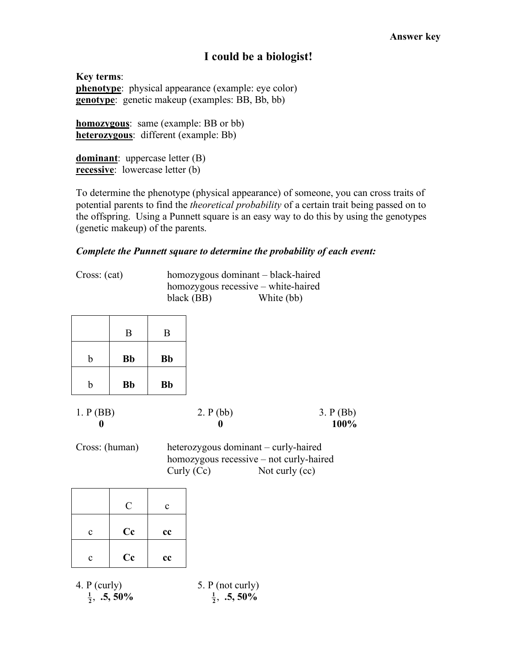## **I could be a biologist!**

**Key terms**: **phenotype**: physical appearance (example: eye color) **genotype**: genetic makeup (examples: BB, Bb, bb)

**homozygous**: same (example: BB or bb) **heterozygous**: different (example: Bb)

**dominant**: uppercase letter (B) **recessive**: lowercase letter (b)

To determine the phenotype (physical appearance) of someone, you can cross traits of potential parents to find the *theoretical probability* of a certain trait being passed on to the offspring. Using a Punnett square is an easy way to do this by using the genotypes (genetic makeup) of the parents.

#### *Complete the Punnett square to determine the probability of each event:*

Cross: (cat) homozygous dominant – black-haired homozygous recessive – white-haired black (BB) White (bb)

|   | B         | B         |
|---|-----------|-----------|
| b | <b>Bb</b> | <b>Bb</b> |
| b | <b>Bb</b> | <b>Bb</b> |

| 1. P(BB) | 2. P (bb) | 3. P(Bb) |
|----------|-----------|----------|
|          |           | 100%     |

Cross: (human) heterozygous dominant – curly-haired homozygous recessive – not curly-haired Curly (Cc) Not curly (cc)

|              | $\mathcal{C}$ | $\mathbf{c}$ |
|--------------|---------------|--------------|
| $\mathbf{c}$ | Cc            | cc           |
| c            | Cc            | cc           |

4. P (curly) 5. P (not curly)

 $\frac{1}{2}$ , **.5,** 50%

 $\frac{1}{2}$ , **.5,** 50%